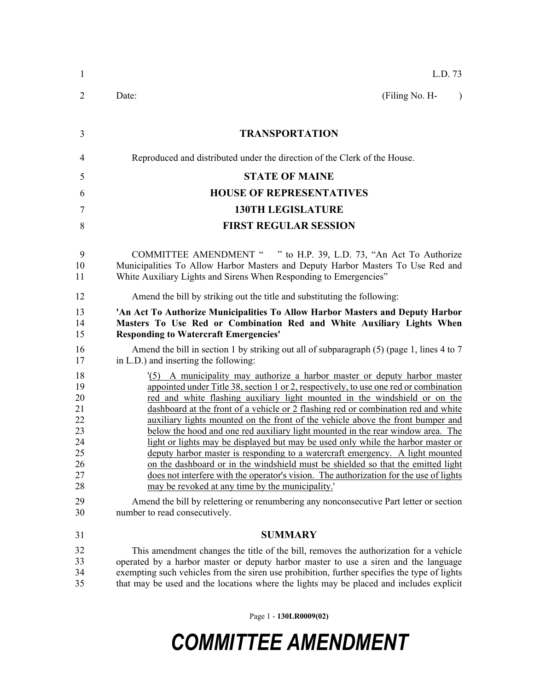| 1                                                              | L.D. 73                                                                                                                                                                                                                                                                                                                                                                                                                                                                                                                                                                                                                                                                                                                                                                                                                                                                                                           |
|----------------------------------------------------------------|-------------------------------------------------------------------------------------------------------------------------------------------------------------------------------------------------------------------------------------------------------------------------------------------------------------------------------------------------------------------------------------------------------------------------------------------------------------------------------------------------------------------------------------------------------------------------------------------------------------------------------------------------------------------------------------------------------------------------------------------------------------------------------------------------------------------------------------------------------------------------------------------------------------------|
| $\overline{2}$                                                 | (Filing No. H-<br>Date:<br>$\rightarrow$                                                                                                                                                                                                                                                                                                                                                                                                                                                                                                                                                                                                                                                                                                                                                                                                                                                                          |
| 3                                                              | <b>TRANSPORTATION</b>                                                                                                                                                                                                                                                                                                                                                                                                                                                                                                                                                                                                                                                                                                                                                                                                                                                                                             |
| 4                                                              | Reproduced and distributed under the direction of the Clerk of the House.                                                                                                                                                                                                                                                                                                                                                                                                                                                                                                                                                                                                                                                                                                                                                                                                                                         |
| 5                                                              | <b>STATE OF MAINE</b>                                                                                                                                                                                                                                                                                                                                                                                                                                                                                                                                                                                                                                                                                                                                                                                                                                                                                             |
| 6                                                              | <b>HOUSE OF REPRESENTATIVES</b>                                                                                                                                                                                                                                                                                                                                                                                                                                                                                                                                                                                                                                                                                                                                                                                                                                                                                   |
| 7                                                              | <b>130TH LEGISLATURE</b>                                                                                                                                                                                                                                                                                                                                                                                                                                                                                                                                                                                                                                                                                                                                                                                                                                                                                          |
| 8                                                              | <b>FIRST REGULAR SESSION</b>                                                                                                                                                                                                                                                                                                                                                                                                                                                                                                                                                                                                                                                                                                                                                                                                                                                                                      |
| 9<br>10<br>11                                                  | COMMITTEE AMENDMENT " " to H.P. 39, L.D. 73, "An Act To Authorize<br>Municipalities To Allow Harbor Masters and Deputy Harbor Masters To Use Red and<br>White Auxiliary Lights and Sirens When Responding to Emergencies"                                                                                                                                                                                                                                                                                                                                                                                                                                                                                                                                                                                                                                                                                         |
| 12                                                             | Amend the bill by striking out the title and substituting the following:                                                                                                                                                                                                                                                                                                                                                                                                                                                                                                                                                                                                                                                                                                                                                                                                                                          |
| 13<br>14<br>15                                                 | 'An Act To Authorize Municipalities To Allow Harbor Masters and Deputy Harbor<br>Masters To Use Red or Combination Red and White Auxiliary Lights When<br><b>Responding to Watercraft Emergencies'</b>                                                                                                                                                                                                                                                                                                                                                                                                                                                                                                                                                                                                                                                                                                            |
| 16<br>17                                                       | Amend the bill in section 1 by striking out all of subparagraph $(5)$ (page 1, lines 4 to 7<br>in L.D.) and inserting the following:                                                                                                                                                                                                                                                                                                                                                                                                                                                                                                                                                                                                                                                                                                                                                                              |
| 18<br>19<br>20<br>21<br>22<br>23<br>24<br>25<br>26<br>27<br>28 | (5) A municipality may authorize a harbor master or deputy harbor master<br>appointed under Title 38, section 1 or 2, respectively, to use one red or combination<br>red and white flashing auxiliary light mounted in the windshield or on the<br>dashboard at the front of a vehicle or 2 flashing red or combination red and white<br>auxiliary lights mounted on the front of the vehicle above the front bumper and<br>below the hood and one red auxiliary light mounted in the rear window area. The<br>light or lights may be displayed but may be used only while the harbor master or<br>deputy harbor master is responding to a watercraft emergency. A light mounted<br>on the dashboard or in the windshield must be shielded so that the emitted light<br>does not interfere with the operator's vision. The authorization for the use of lights<br>may be revoked at any time by the municipality. |
| 29<br>30                                                       | Amend the bill by relettering or renumbering any nonconsecutive Part letter or section<br>number to read consecutively.                                                                                                                                                                                                                                                                                                                                                                                                                                                                                                                                                                                                                                                                                                                                                                                           |
| 31                                                             | <b>SUMMARY</b>                                                                                                                                                                                                                                                                                                                                                                                                                                                                                                                                                                                                                                                                                                                                                                                                                                                                                                    |
| 32<br>33<br>34<br>35                                           | This amendment changes the title of the bill, removes the authorization for a vehicle<br>operated by a harbor master or deputy harbor master to use a siren and the language<br>exempting such vehicles from the siren use prohibition, further specifies the type of lights<br>that may be used and the locations where the lights may be placed and includes explicit                                                                                                                                                                                                                                                                                                                                                                                                                                                                                                                                           |

Page 1 - **130LR0009(02)**

## *COMMITTEE AMENDMENT*